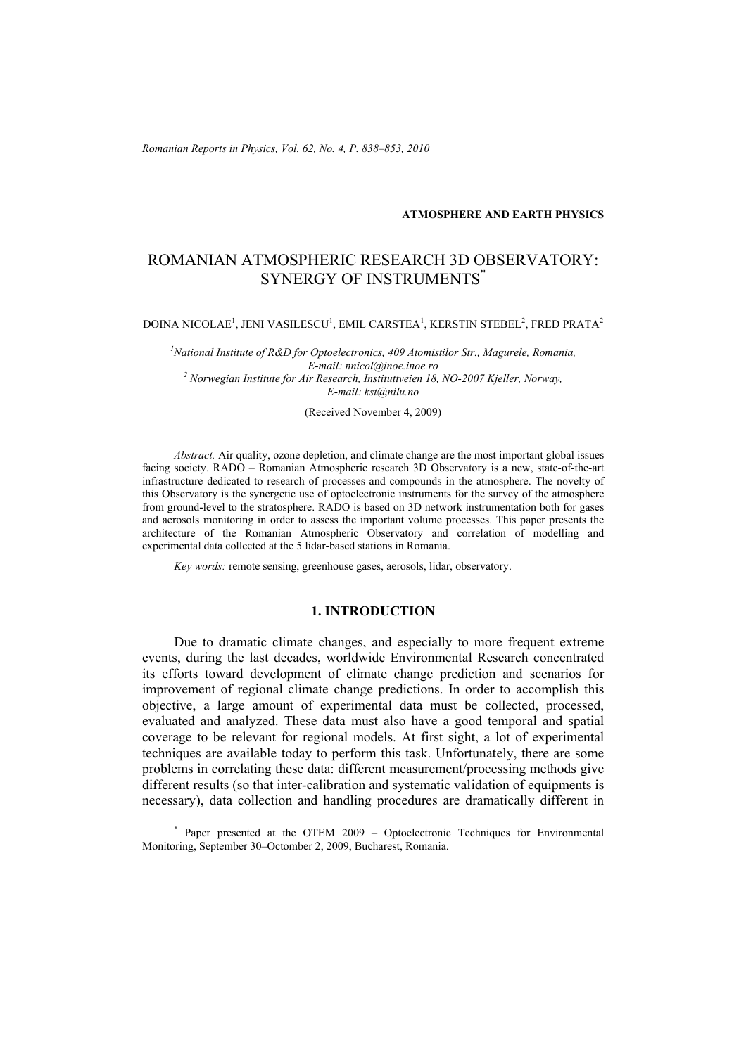*Romanian Reports in Physics, Vol. 62, No. 4, P. 838–853, 2010* 

#### **ATMOSPHERE AND EARTH PHYSICS**

# ROMANIAN ATMOSPHERIC RESEARCH 3D OBSERVATORY: SYNERGY OF INSTRUMENTS\*

DOINA NICOLAE<sup>1</sup>, JENI VASILESCU<sup>1</sup>, EMIL CARSTEA<sup>1</sup>, KERSTIN STEBEL<sup>2</sup>, FRED PRATA<sup>2</sup>

<sup>1</sup> National Institute of R&D for Optoelectronics, 409 Atomistilor Str., Magurele, Romania, *E-mail: nnicol@inoe.inoe.ro 2 Norwegian Institute for Air Research, Instituttveien 18, NO-2007 Kjeller, Norway, E-mail: kst@nilu.no* 

(Received November 4, 2009)

*Abstract.* Air quality, ozone depletion, and climate change are the most important global issues facing society. RADO – Romanian Atmospheric research 3D Observatory is a new, state-of-the-art infrastructure dedicated to research of processes and compounds in the atmosphere. The novelty of this Observatory is the synergetic use of optoelectronic instruments for the survey of the atmosphere from ground-level to the stratosphere. RADO is based on 3D network instrumentation both for gases and aerosols monitoring in order to assess the important volume processes. This paper presents the architecture of the Romanian Atmospheric Observatory and correlation of modelling and experimental data collected at the 5 lidar-based stations in Romania.

*Key words:* remote sensing, greenhouse gases, aerosols, lidar, observatory.

### **1. INTRODUCTION**

Due to dramatic climate changes, and especially to more frequent extreme events, during the last decades, worldwide Environmental Research concentrated its efforts toward development of climate change prediction and scenarios for improvement of regional climate change predictions. In order to accomplish this objective, a large amount of experimental data must be collected, processed, evaluated and analyzed. These data must also have a good temporal and spatial coverage to be relevant for regional models. At first sight, a lot of experimental techniques are available today to perform this task. Unfortunately, there are some problems in correlating these data: different measurement/processing methods give different results (so that inter-calibration and systematic validation of equipments is necessary), data collection and handling procedures are dramatically different in

 <sup>\*</sup> Paper presented at the OTEM 2009 – Optoelectronic Techniques for Environmental Monitoring, September 30–Octomber 2, 2009, Bucharest, Romania.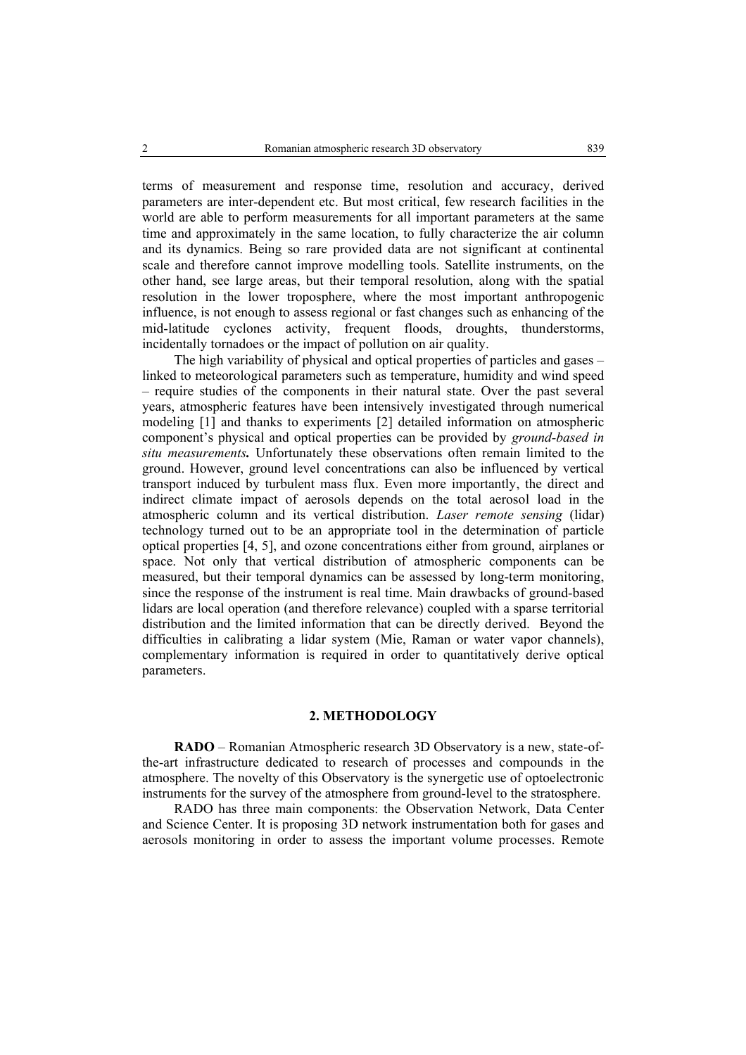terms of measurement and response time, resolution and accuracy, derived parameters are inter-dependent etc. But most critical, few research facilities in the world are able to perform measurements for all important parameters at the same time and approximately in the same location, to fully characterize the air column and its dynamics. Being so rare provided data are not significant at continental scale and therefore cannot improve modelling tools. Satellite instruments, on the other hand, see large areas, but their temporal resolution, along with the spatial resolution in the lower troposphere, where the most important anthropogenic influence, is not enough to assess regional or fast changes such as enhancing of the mid-latitude cyclones activity, frequent floods, droughts, thunderstorms, incidentally tornadoes or the impact of pollution on air quality.

The high variability of physical and optical properties of particles and gases – linked to meteorological parameters such as temperature, humidity and wind speed – require studies of the components in their natural state. Over the past several years, atmospheric features have been intensively investigated through numerical modeling [1] and thanks to experiments [2] detailed information on atmospheric component's physical and optical properties can be provided by *ground-based in situ measurements.* Unfortunately these observations often remain limited to the ground. However, ground level concentrations can also be influenced by vertical transport induced by turbulent mass flux. Even more importantly, the direct and indirect climate impact of aerosols depends on the total aerosol load in the atmospheric column and its vertical distribution. *Laser remote sensing* (lidar) technology turned out to be an appropriate tool in the determination of particle optical properties [4, 5], and ozone concentrations either from ground, airplanes or space. Not only that vertical distribution of atmospheric components can be measured, but their temporal dynamics can be assessed by long-term monitoring, since the response of the instrument is real time. Main drawbacks of ground-based lidars are local operation (and therefore relevance) coupled with a sparse territorial distribution and the limited information that can be directly derived. Beyond the difficulties in calibrating a lidar system (Mie, Raman or water vapor channels), complementary information is required in order to quantitatively derive optical parameters.

#### **2. METHODOLOGY**

**RADO** – Romanian Atmospheric research 3D Observatory is a new, state-ofthe-art infrastructure dedicated to research of processes and compounds in the atmosphere. The novelty of this Observatory is the synergetic use of optoelectronic instruments for the survey of the atmosphere from ground-level to the stratosphere.

RADO has three main components: the Observation Network, Data Center and Science Center. It is proposing 3D network instrumentation both for gases and aerosols monitoring in order to assess the important volume processes. Remote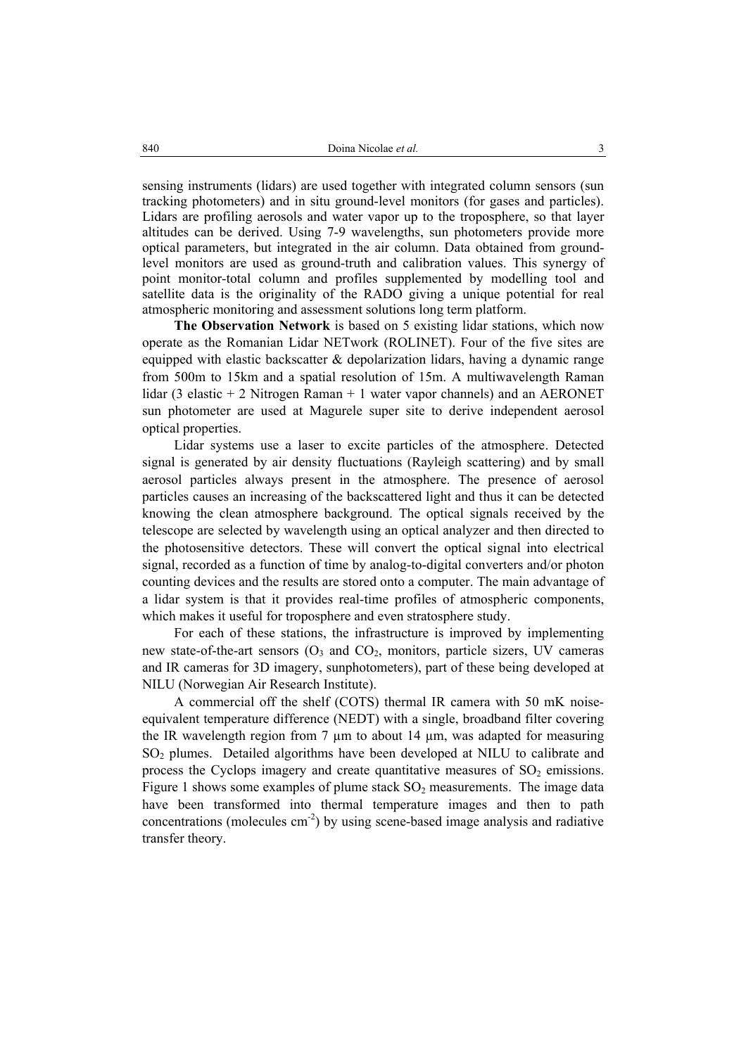sensing instruments (lidars) are used together with integrated column sensors (sun tracking photometers) and in situ ground-level monitors (for gases and particles). Lidars are profiling aerosols and water vapor up to the troposphere, so that layer altitudes can be derived. Using 7-9 wavelengths, sun photometers provide more optical parameters, but integrated in the air column. Data obtained from groundlevel monitors are used as ground-truth and calibration values. This synergy of point monitor-total column and profiles supplemented by modelling tool and satellite data is the originality of the RADO giving a unique potential for real atmospheric monitoring and assessment solutions long term platform.

**The Observation Network** is based on 5 existing lidar stations, which now operate as the Romanian Lidar NETwork (ROLINET). Four of the five sites are equipped with elastic backscatter & depolarization lidars, having a dynamic range from 500m to 15km and a spatial resolution of 15m. A multiwavelength Raman lidar (3 elastic  $+ 2$  Nitrogen Raman  $+ 1$  water vapor channels) and an AERONET sun photometer are used at Magurele super site to derive independent aerosol optical properties.

Lidar systems use a laser to excite particles of the atmosphere. Detected signal is generated by air density fluctuations (Rayleigh scattering) and by small aerosol particles always present in the atmosphere. The presence of aerosol particles causes an increasing of the backscattered light and thus it can be detected knowing the clean atmosphere background. The optical signals received by the telescope are selected by wavelength using an optical analyzer and then directed to the photosensitive detectors. These will convert the optical signal into electrical signal, recorded as a function of time by analog-to-digital converters and/or photon counting devices and the results are stored onto a computer. The main advantage of a lidar system is that it provides real-time profiles of atmospheric components, which makes it useful for troposphere and even stratosphere study.

For each of these stations, the infrastructure is improved by implementing new state-of-the-art sensors  $(O_3 \text{ and } CO_2)$ , monitors, particle sizers, UV cameras and IR cameras for 3D imagery, sunphotometers), part of these being developed at NILU (Norwegian Air Research Institute).

A commercial off the shelf (COTS) thermal IR camera with 50 mK noiseequivalent temperature difference (NEDT) with a single, broadband filter covering the IR wavelength region from 7  $\mu$ m to about 14  $\mu$ m, was adapted for measuring SO<sub>2</sub> plumes. Detailed algorithms have been developed at NILU to calibrate and process the Cyclops imagery and create quantitative measures of  $SO<sub>2</sub>$  emissions. Figure 1 shows some examples of plume stack  $SO<sub>2</sub>$  measurements. The image data have been transformed into thermal temperature images and then to path concentrations (molecules  $cm<sup>-2</sup>$ ) by using scene-based image analysis and radiative transfer theory.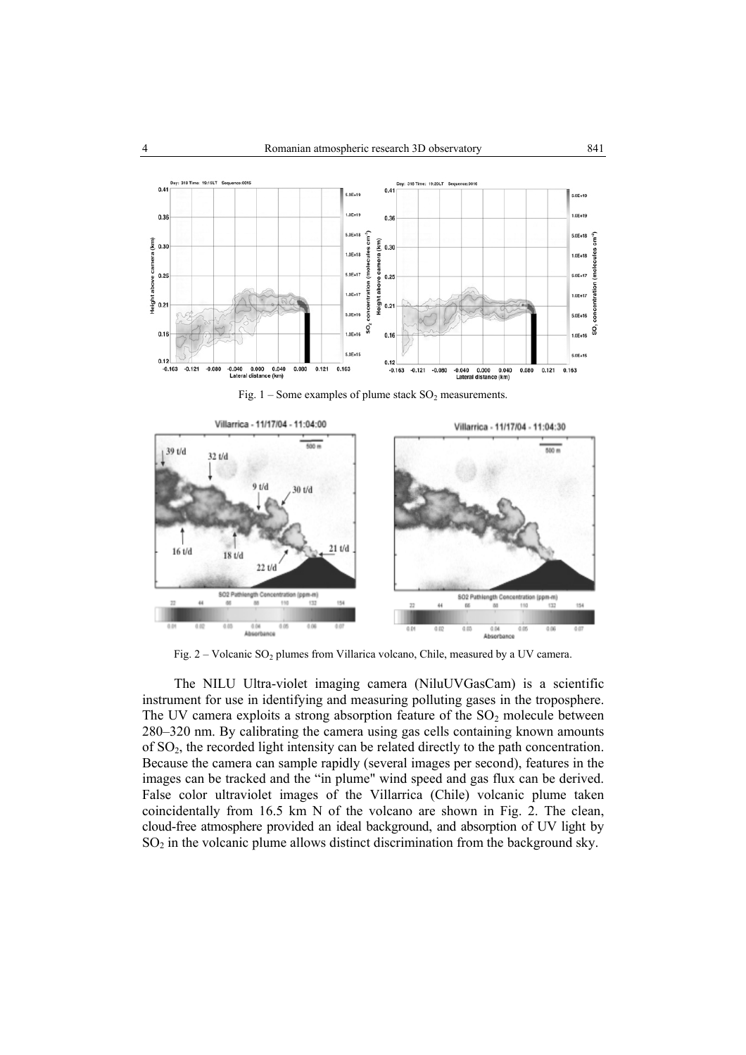

Fig.  $1 -$ Some examples of plume stack SO<sub>2</sub> measurements.



Fig. 2 – Volcanic SO<sub>2</sub> plumes from Villarica volcano, Chile, measured by a UV camera.

The NILU Ultra-violet imaging camera (NiluUVGasCam) is a scientific instrument for use in identifying and measuring polluting gases in the troposphere. The UV camera exploits a strong absorption feature of the  $SO<sub>2</sub>$  molecule between 280–320 nm. By calibrating the camera using gas cells containing known amounts of  $SO<sub>2</sub>$ , the recorded light intensity can be related directly to the path concentration. Because the camera can sample rapidly (several images per second), features in the images can be tracked and the "in plume" wind speed and gas flux can be derived. False color ultraviolet images of the Villarrica (Chile) volcanic plume taken coincidentally from 16.5 km N of the volcano are shown in Fig. 2. The clean, cloud-free atmosphere provided an ideal background, and absorption of UV light by  $SO<sub>2</sub>$  in the volcanic plume allows distinct discrimination from the background sky.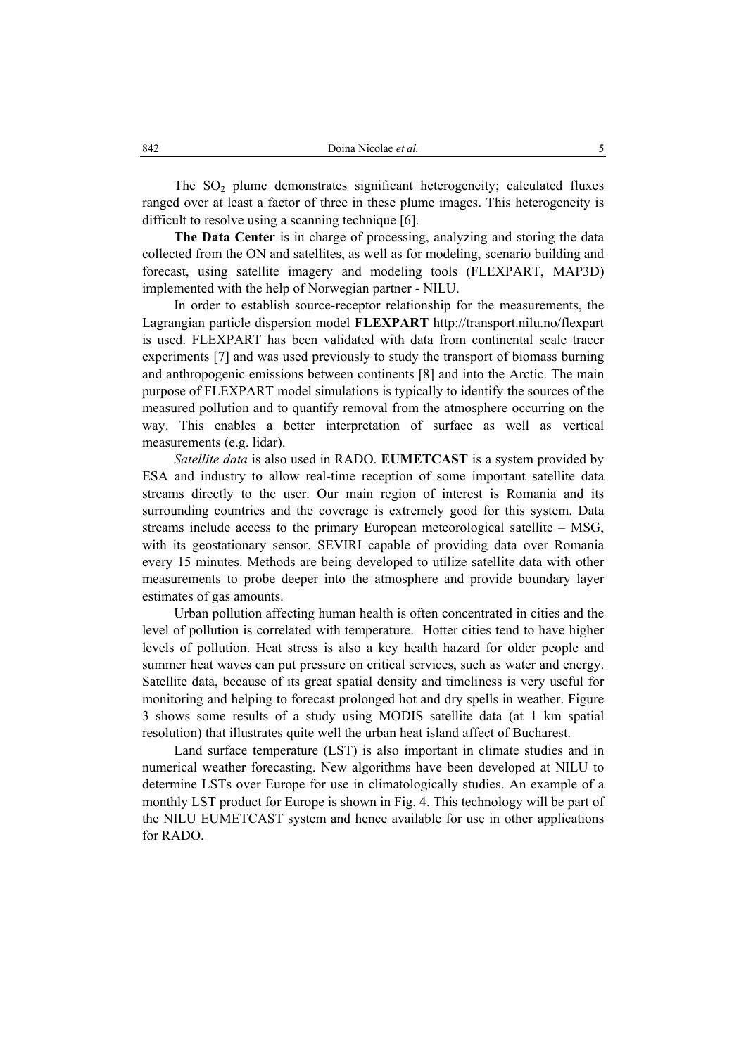The  $SO<sub>2</sub>$  plume demonstrates significant heterogeneity; calculated fluxes ranged over at least a factor of three in these plume images. This heterogeneity is difficult to resolve using a scanning technique [6].

**The Data Center** is in charge of processing, analyzing and storing the data collected from the ON and satellites, as well as for modeling, scenario building and forecast, using satellite imagery and modeling tools (FLEXPART, MAP3D) implemented with the help of Norwegian partner - NILU.

In order to establish source-receptor relationship for the measurements, the Lagrangian particle dispersion model **FLEXPART** http://transport.nilu.no/flexpart is used. FLEXPART has been validated with data from continental scale tracer experiments [7] and was used previously to study the transport of biomass burning and anthropogenic emissions between continents [8] and into the Arctic. The main purpose of FLEXPART model simulations is typically to identify the sources of the measured pollution and to quantify removal from the atmosphere occurring on the way. This enables a better interpretation of surface as well as vertical measurements (e.g. lidar).

*Satellite data* is also used in RADO. **EUMETCAST** is a system provided by ESA and industry to allow real-time reception of some important satellite data streams directly to the user. Our main region of interest is Romania and its surrounding countries and the coverage is extremely good for this system. Data streams include access to the primary European meteorological satellite – MSG, with its geostationary sensor, SEVIRI capable of providing data over Romania every 15 minutes. Methods are being developed to utilize satellite data with other measurements to probe deeper into the atmosphere and provide boundary layer estimates of gas amounts.

Urban pollution affecting human health is often concentrated in cities and the level of pollution is correlated with temperature. Hotter cities tend to have higher levels of pollution. Heat stress is also a key health hazard for older people and summer heat waves can put pressure on critical services, such as water and energy. Satellite data, because of its great spatial density and timeliness is very useful for monitoring and helping to forecast prolonged hot and dry spells in weather. Figure 3 shows some results of a study using MODIS satellite data (at 1 km spatial resolution) that illustrates quite well the urban heat island affect of Bucharest.

Land surface temperature (LST) is also important in climate studies and in numerical weather forecasting. New algorithms have been developed at NILU to determine LSTs over Europe for use in climatologically studies. An example of a monthly LST product for Europe is shown in Fig. 4. This technology will be part of the NILU EUMETCAST system and hence available for use in other applications for RADO.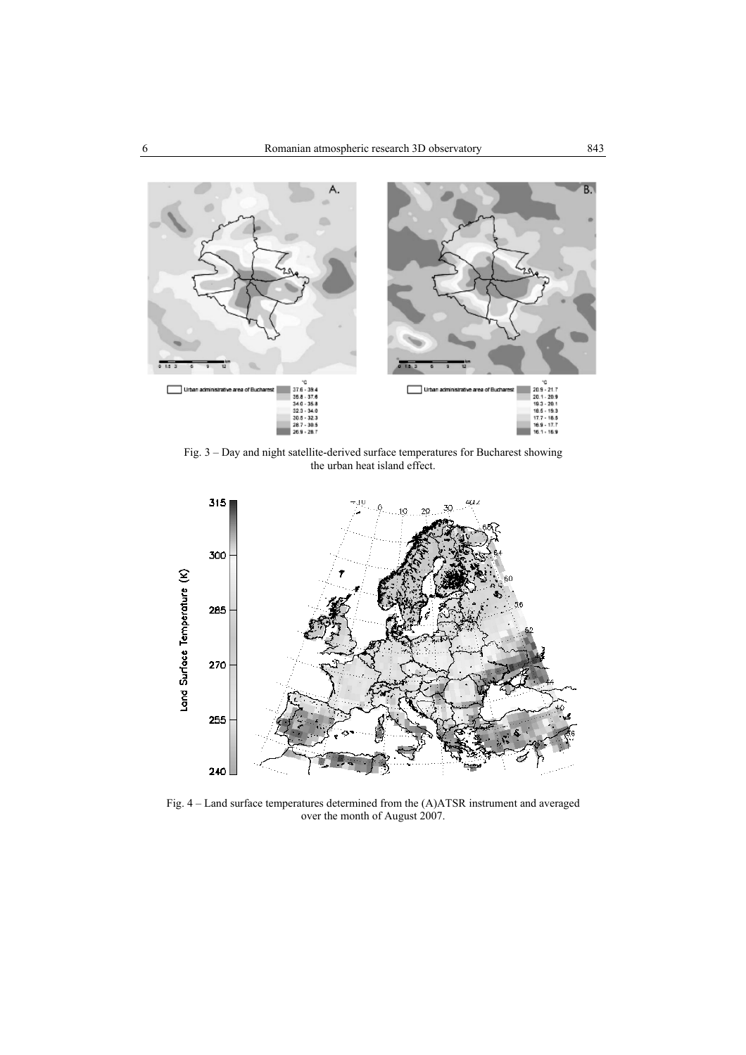

Fig. 3 – Day and night satellite-derived surface temperatures for Bucharest showing the urban heat island effect.



Fig. 4 – Land surface temperatures determined from the (A)ATSR instrument and averaged over the month of August 2007.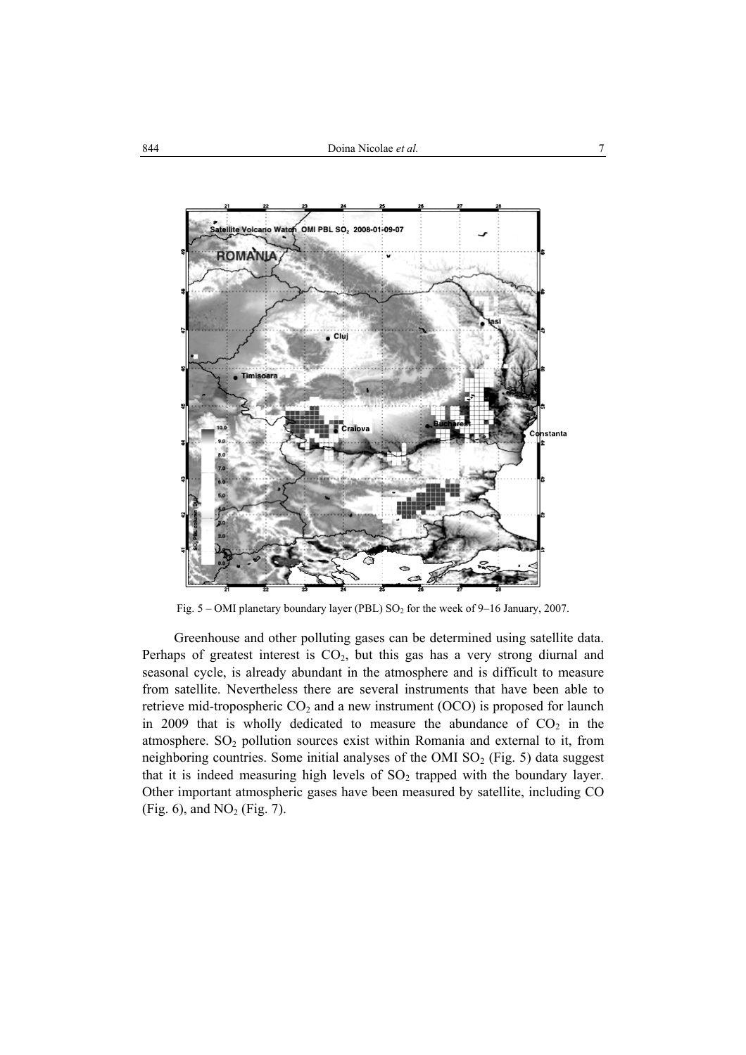

Fig.  $5 - OMI$  planetary boundary layer (PBL)  $SO<sub>2</sub>$  for the week of 9–16 January, 2007.

Greenhouse and other polluting gases can be determined using satellite data. Perhaps of greatest interest is  $CO<sub>2</sub>$ , but this gas has a very strong diurnal and seasonal cycle, is already abundant in the atmosphere and is difficult to measure from satellite. Nevertheless there are several instruments that have been able to retrieve mid-tropospheric  $CO<sub>2</sub>$  and a new instrument (OCO) is proposed for launch in 2009 that is wholly dedicated to measure the abundance of  $CO<sub>2</sub>$  in the atmosphere.  $SO<sub>2</sub>$  pollution sources exist within Romania and external to it, from neighboring countries. Some initial analyses of the OMI  $SO<sub>2</sub>$  (Fig. 5) data suggest that it is indeed measuring high levels of  $SO<sub>2</sub>$  trapped with the boundary layer. Other important atmospheric gases have been measured by satellite, including CO (Fig. 6), and  $NO<sub>2</sub>$  (Fig. 7).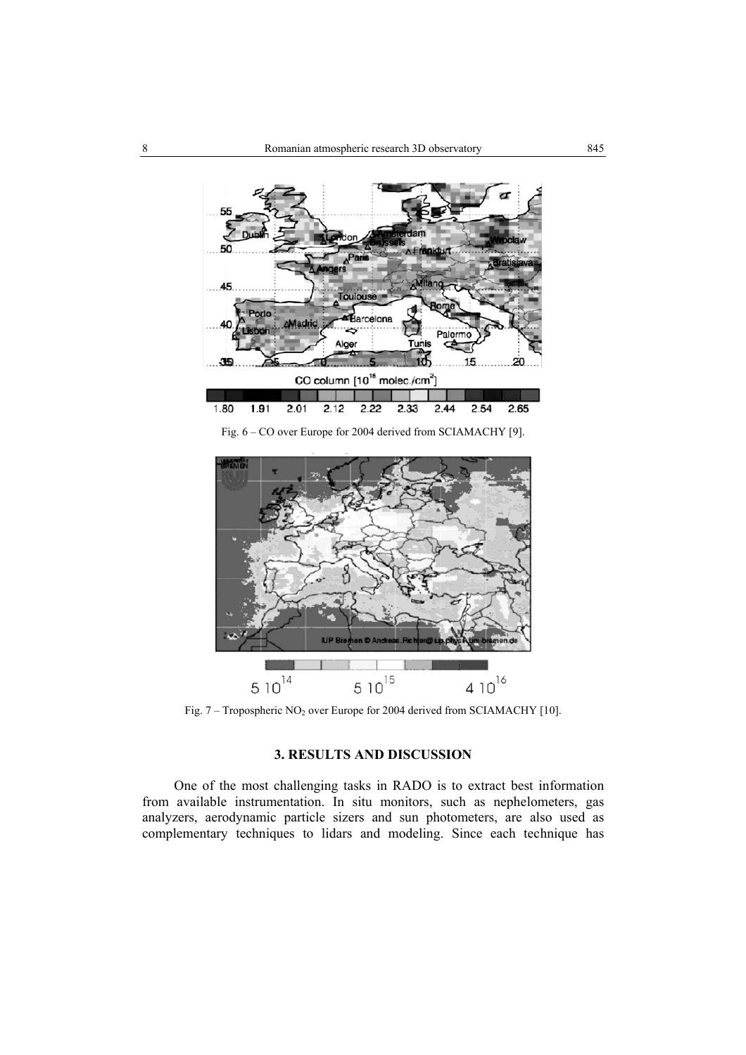

Fig. 6 – CO over Europe for 2004 derived from SCIAMACHY [9].



Fig.  $7 - Tropospheric NO<sub>2</sub> over Europe for 2004 derived from SCIAMACHY [10].$ 

## **3. RESULTS AND DISCUSSION**

One of the most challenging tasks in RADO is to extract best information from available instrumentation. In situ monitors, such as nephelometers, gas analyzers, aerodynamic particle sizers and sun photometers, are also used as complementary techniques to lidars and modeling. Since each technique has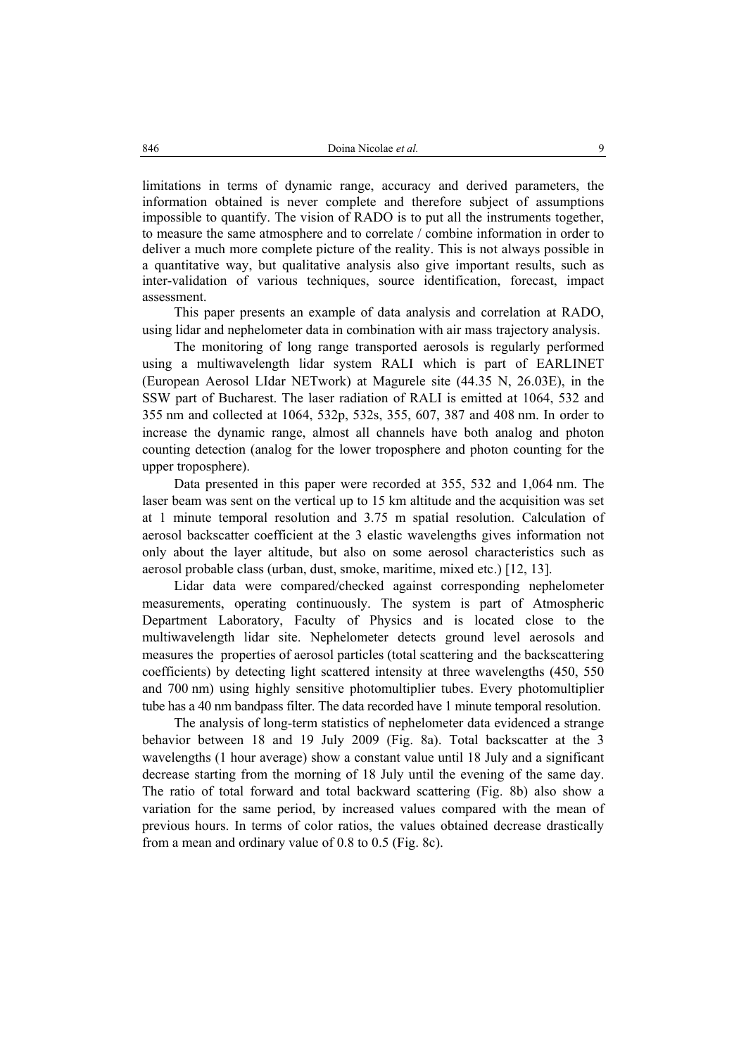limitations in terms of dynamic range, accuracy and derived parameters, the information obtained is never complete and therefore subject of assumptions impossible to quantify. The vision of RADO is to put all the instruments together, to measure the same atmosphere and to correlate / combine information in order to deliver a much more complete picture of the reality. This is not always possible in a quantitative way, but qualitative analysis also give important results, such as inter-validation of various techniques, source identification, forecast, impact assessment.

This paper presents an example of data analysis and correlation at RADO, using lidar and nephelometer data in combination with air mass trajectory analysis.

The monitoring of long range transported aerosols is regularly performed using a multiwavelength lidar system RALI which is part of EARLINET (European Aerosol LIdar NETwork) at Magurele site (44.35 N, 26.03E), in the SSW part of Bucharest. The laser radiation of RALI is emitted at 1064, 532 and 355 nm and collected at 1064, 532p, 532s, 355, 607, 387 and 408 nm. In order to increase the dynamic range, almost all channels have both analog and photon counting detection (analog for the lower troposphere and photon counting for the upper troposphere).

Data presented in this paper were recorded at 355, 532 and 1,064 nm. The laser beam was sent on the vertical up to 15 km altitude and the acquisition was set at 1 minute temporal resolution and 3.75 m spatial resolution. Calculation of aerosol backscatter coefficient at the 3 elastic wavelengths gives information not only about the layer altitude, but also on some aerosol characteristics such as aerosol probable class (urban, dust, smoke, maritime, mixed etc.) [12, 13].

Lidar data were compared/checked against corresponding nephelometer measurements, operating continuously. The system is part of Atmospheric Department Laboratory, Faculty of Physics and is located close to the multiwavelength lidar site. Nephelometer detects ground level aerosols and measures the properties of aerosol particles (total scattering and the backscattering coefficients) by detecting light scattered intensity at three wavelengths (450, 550 and 700 nm) using highly sensitive photomultiplier tubes. Every photomultiplier tube has a 40 nm bandpass filter. The data recorded have 1 minute temporal resolution.

The analysis of long-term statistics of nephelometer data evidenced a strange behavior between 18 and 19 July 2009 (Fig. 8a). Total backscatter at the 3 wavelengths (1 hour average) show a constant value until 18 July and a significant decrease starting from the morning of 18 July until the evening of the same day. The ratio of total forward and total backward scattering (Fig. 8b) also show a variation for the same period, by increased values compared with the mean of previous hours. In terms of color ratios, the values obtained decrease drastically from a mean and ordinary value of 0.8 to 0.5 (Fig. 8c).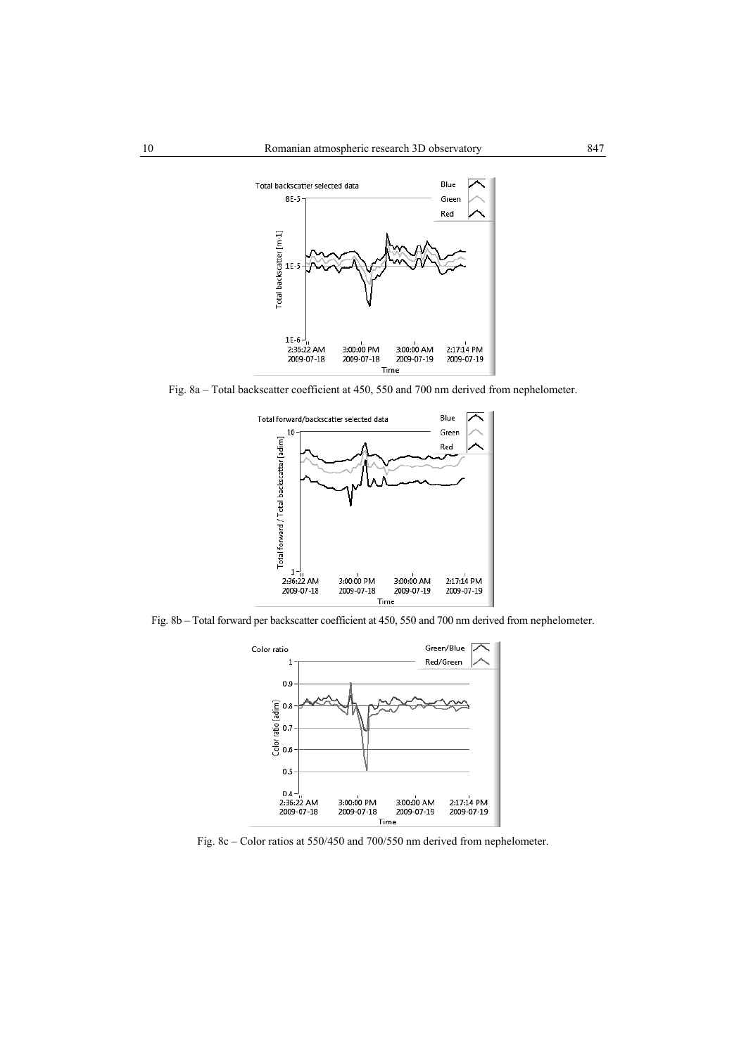

Fig. 8a – Total backscatter coefficient at 450, 550 and 700 nm derived from nephelometer.



Fig. 8b – Total forward per backscatter coefficient at 450, 550 and 700 nm derived from nephelometer.



Fig. 8c – Color ratios at 550/450 and 700/550 nm derived from nephelometer.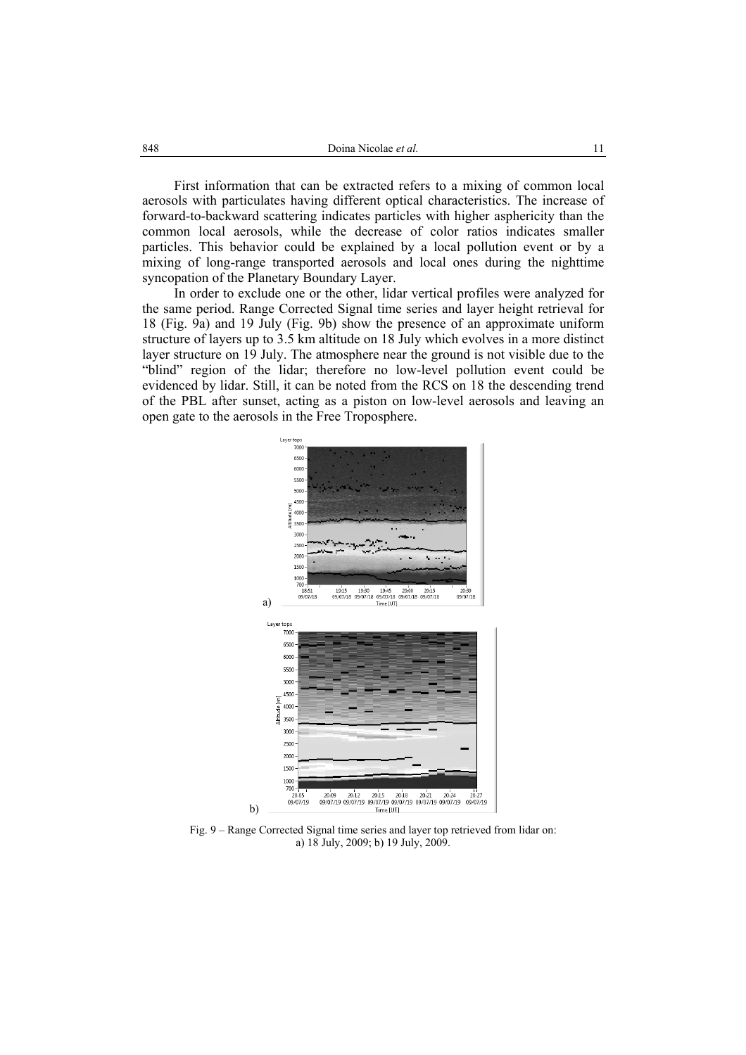First information that can be extracted refers to a mixing of common local aerosols with particulates having different optical characteristics. The increase of forward-to-backward scattering indicates particles with higher asphericity than the common local aerosols, while the decrease of color ratios indicates smaller particles. This behavior could be explained by a local pollution event or by a mixing of long-range transported aerosols and local ones during the nighttime syncopation of the Planetary Boundary Layer.

In order to exclude one or the other, lidar vertical profiles were analyzed for the same period. Range Corrected Signal time series and layer height retrieval for 18 (Fig. 9a) and 19 July (Fig. 9b) show the presence of an approximate uniform structure of layers up to 3.5 km altitude on 18 July which evolves in a more distinct layer structure on 19 July. The atmosphere near the ground is not visible due to the "blind" region of the lidar; therefore no low-level pollution event could be evidenced by lidar. Still, it can be noted from the RCS on 18 the descending trend of the PBL after sunset, acting as a piston on low-level aerosols and leaving an open gate to the aerosols in the Free Troposphere.



Fig. 9 – Range Corrected Signal time series and layer top retrieved from lidar on: a) 18 July, 2009; b) 19 July, 2009.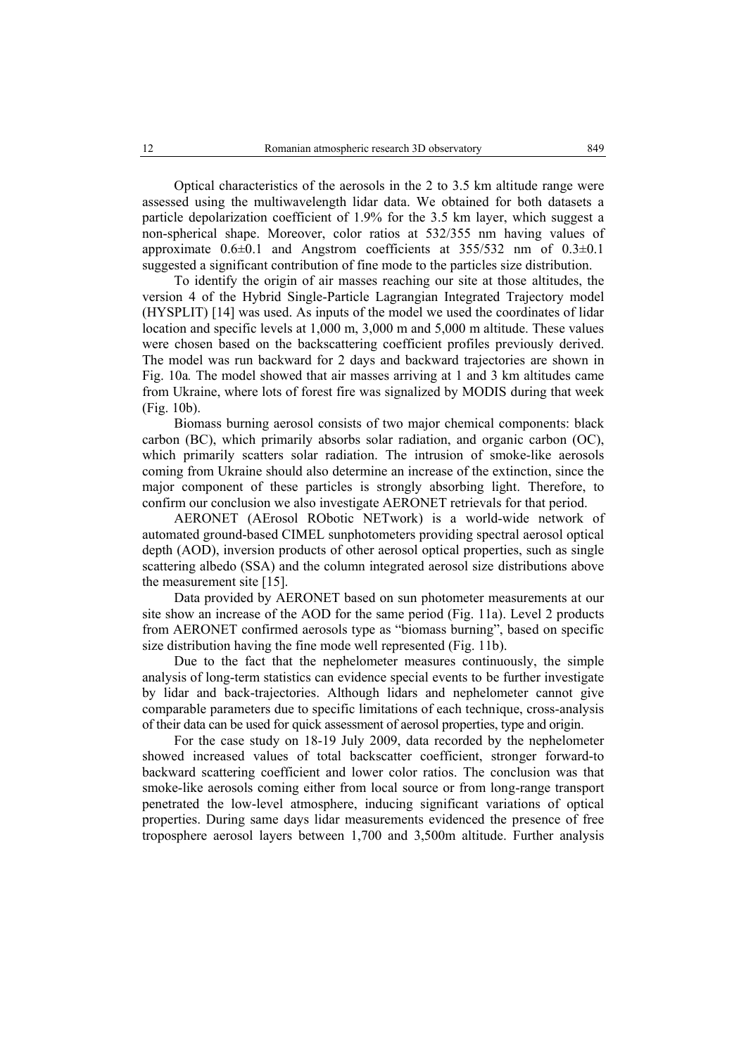Optical characteristics of the aerosols in the 2 to 3.5 km altitude range were assessed using the multiwavelength lidar data. We obtained for both datasets a particle depolarization coefficient of 1.9% for the 3.5 km layer, which suggest a non-spherical shape. Moreover, color ratios at 532/355 nm having values of approximate  $0.6\pm0.1$  and Angstrom coefficients at  $355/532$  nm of  $0.3\pm0.1$ suggested a significant contribution of fine mode to the particles size distribution.

To identify the origin of air masses reaching our site at those altitudes, the version 4 of the Hybrid Single-Particle Lagrangian Integrated Trajectory model (HYSPLIT) [14] was used. As inputs of the model we used the coordinates of lidar location and specific levels at 1,000 m, 3,000 m and 5,000 m altitude. These values were chosen based on the backscattering coefficient profiles previously derived. The model was run backward for 2 days and backward trajectories are shown in Fig. 10a*.* The model showed that air masses arriving at 1 and 3 km altitudes came from Ukraine, where lots of forest fire was signalized by MODIS during that week (Fig. 10b).

Biomass burning aerosol consists of two major chemical components: black carbon (BC), which primarily absorbs solar radiation, and organic carbon (OC), which primarily scatters solar radiation. The intrusion of smoke-like aerosols coming from Ukraine should also determine an increase of the extinction, since the major component of these particles is strongly absorbing light. Therefore, to confirm our conclusion we also investigate AERONET retrievals for that period.

AERONET (AErosol RObotic NETwork) is a world-wide network of automated ground-based CIMEL sunphotometers providing spectral aerosol optical depth (AOD), inversion products of other aerosol optical properties, such as single scattering albedo (SSA) and the column integrated aerosol size distributions above the measurement site [15].

Data provided by AERONET based on sun photometer measurements at our site show an increase of the AOD for the same period (Fig. 11a). Level 2 products from AERONET confirmed aerosols type as "biomass burning", based on specific size distribution having the fine mode well represented (Fig. 11b).

Due to the fact that the nephelometer measures continuously, the simple analysis of long-term statistics can evidence special events to be further investigate by lidar and back-trajectories. Although lidars and nephelometer cannot give comparable parameters due to specific limitations of each technique, cross-analysis of their data can be used for quick assessment of aerosol properties, type and origin.

For the case study on 18-19 July 2009, data recorded by the nephelometer showed increased values of total backscatter coefficient, stronger forward-to backward scattering coefficient and lower color ratios. The conclusion was that smoke-like aerosols coming either from local source or from long-range transport penetrated the low-level atmosphere, inducing significant variations of optical properties. During same days lidar measurements evidenced the presence of free troposphere aerosol layers between 1,700 and 3,500m altitude. Further analysis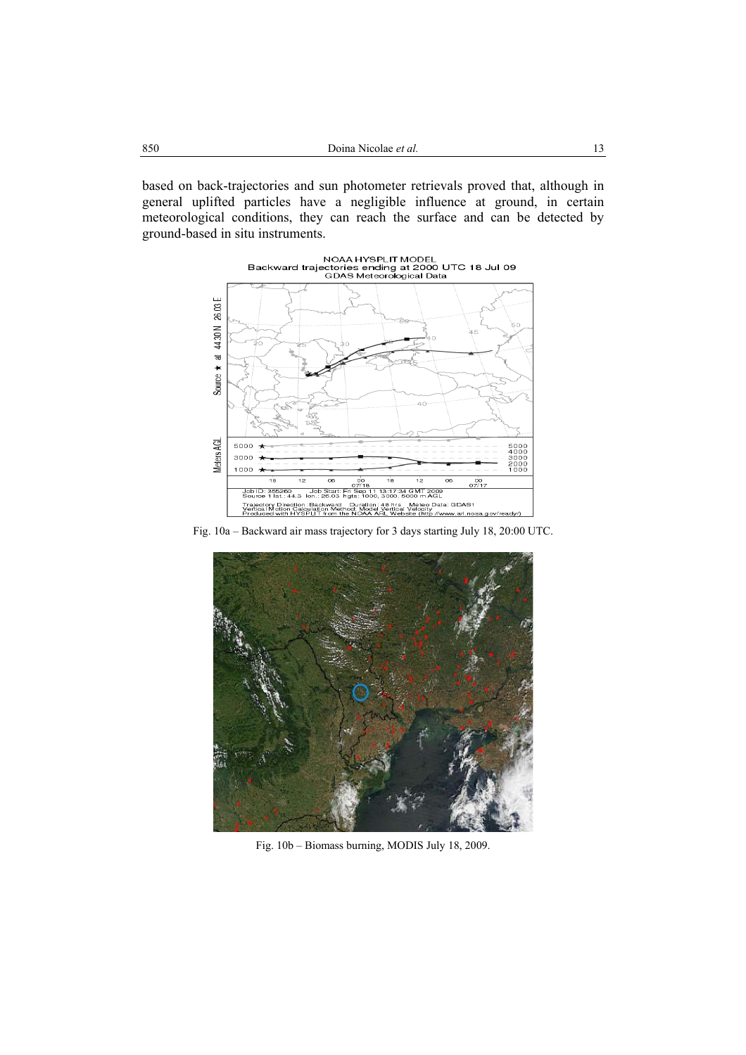based on back-trajectories and sun photometer retrievals proved that, although in general uplifted particles have a negligible influence at ground, in certain meteorological conditions, they can reach the surface and can be detected by ground-based in situ instruments.



Fig. 10a – Backward air mass trajectory for 3 days starting July 18, 20:00 UTC.



Fig. 10b – Biomass burning, MODIS July 18, 2009.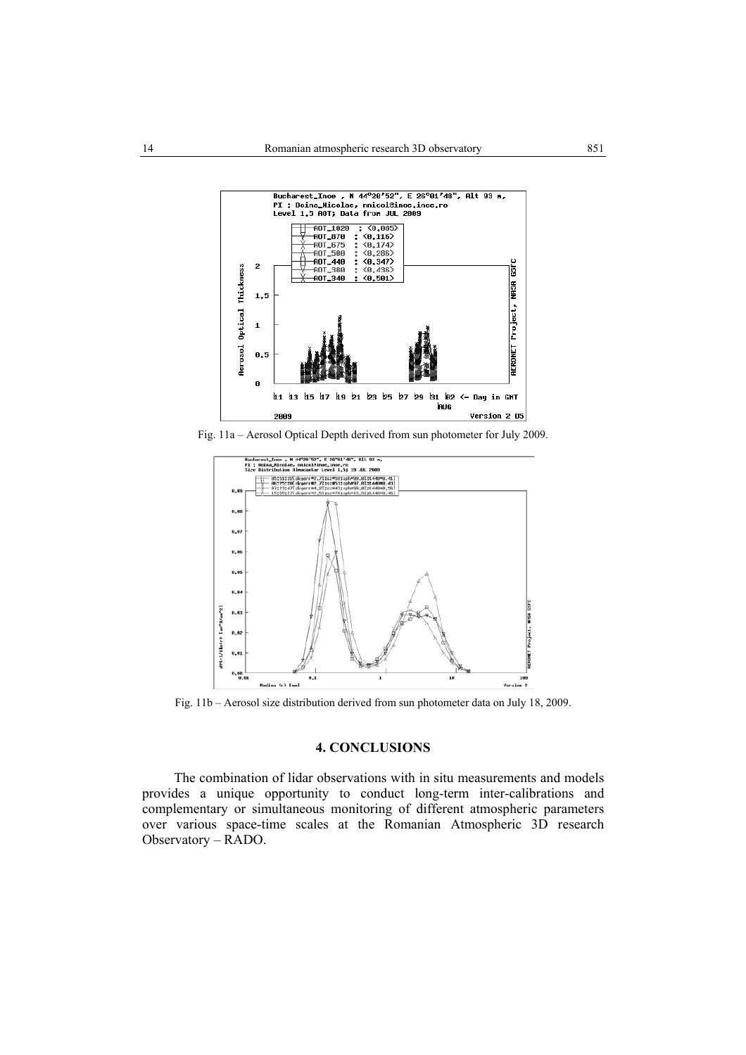

Fig. 11a – Aerosol Optical Depth derived from sun photometer for July 2009.



Fig. 11b – Aerosol size distribution derived from sun photometer data on July 18, 2009.

### **4. CONCLUSIONS**

The combination of lidar observations with in situ measurements and models provides a unique opportunity to conduct long-term inter-calibrations and complementary or simultaneous monitoring of different atmospheric parameters over various space-time scales at the Romanian Atmospheric 3D research Observatory – RADO.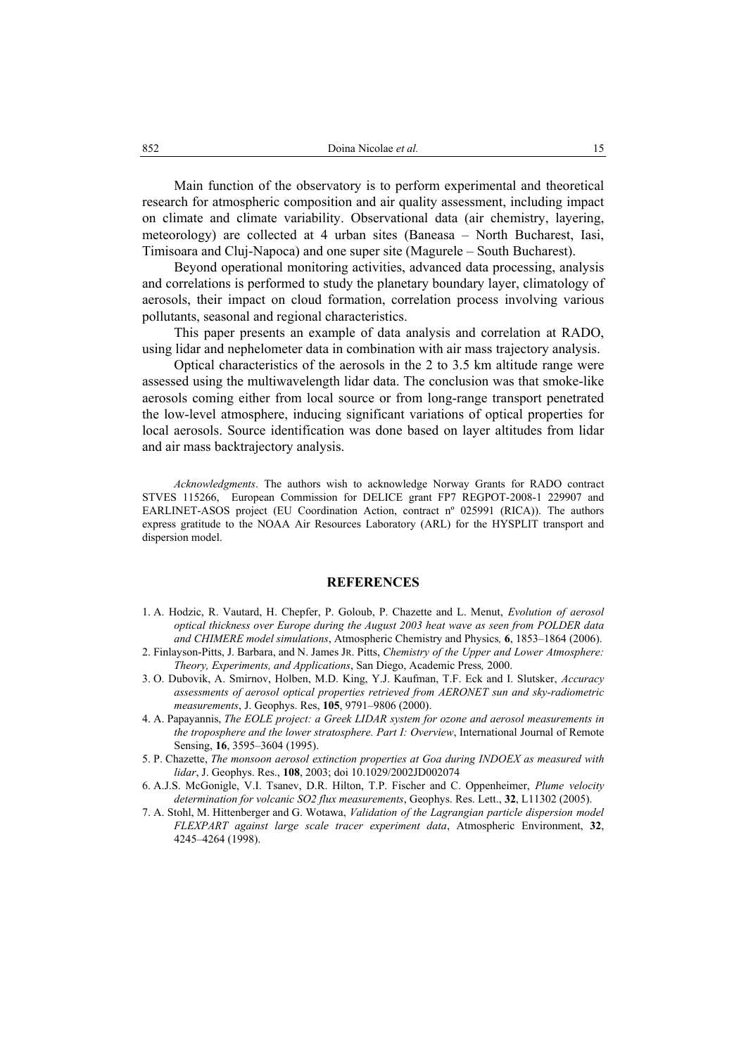Main function of the observatory is to perform experimental and theoretical research for atmospheric composition and air quality assessment, including impact on climate and climate variability. Observational data (air chemistry, layering, meteorology) are collected at 4 urban sites (Baneasa – North Bucharest, Iasi, Timisoara and Cluj-Napoca) and one super site (Magurele – South Bucharest).

Beyond operational monitoring activities, advanced data processing, analysis and correlations is performed to study the planetary boundary layer, climatology of aerosols, their impact on cloud formation, correlation process involving various pollutants, seasonal and regional characteristics.

This paper presents an example of data analysis and correlation at RADO, using lidar and nephelometer data in combination with air mass trajectory analysis.

Optical characteristics of the aerosols in the 2 to 3.5 km altitude range were assessed using the multiwavelength lidar data. The conclusion was that smoke-like aerosols coming either from local source or from long-range transport penetrated the low-level atmosphere, inducing significant variations of optical properties for local aerosols. Source identification was done based on layer altitudes from lidar and air mass backtrajectory analysis.

*Acknowledgments*. The authors wish to acknowledge Norway Grants for RADO contract STVES 115266, European Commission for DELICE grant FP7 REGPOT-2008-1 229907 and EARLINET-ASOS project (EU Coordination Action, contract nº 025991 (RICA)). The authors express gratitude to the NOAA Air Resources Laboratory (ARL) for the HYSPLIT transport and dispersion model.

#### **REFERENCES**

- 1. A. Hodzic, R. Vautard, H. Chepfer, P. Goloub, P. Chazette and L. Menut, *Evolution of aerosol optical thickness over Europe during the August 2003 heat wave as seen from POLDER data and CHIMERE model simulations*, Atmospheric Chemistry and Physics*,* **6**, 1853–1864 (2006).
- 2. Finlayson-Pitts, J. Barbara, and N. James JR. Pitts, *Chemistry of the Upper and Lower Atmosphere: Theory, Experiments, and Applications*, San Diego, Academic Press*,* 2000.
- 3. O. Dubovik, A. Smirnov, Holben, M.D. King, Y.J. Kaufman, T.F. Eck and I. Slutsker, *Accuracy assessments of aerosol optical properties retrieved from AERONET sun and sky-radiometric measurements*, J. Geophys. Res, **105**, 9791–9806 (2000).
- 4. A. Papayannis, *The EOLE project: a Greek LIDAR system for ozone and aerosol measurements in the troposphere and the lower stratosphere. Part I: Overview*, International Journal of Remote Sensing, **16**, 3595–3604 (1995).
- 5. P. Chazette, *The monsoon aerosol extinction properties at Goa during INDOEX as measured with lidar*, J. Geophys. Res., **108**, 2003; doi 10.1029/2002JD002074
- 6. A.J.S. McGonigle, V.I. Tsanev, D.R. Hilton, T.P. Fischer and C. Oppenheimer, *Plume velocity determination for volcanic SO2 flux measurements*, Geophys. Res. Lett., **32**, L11302 (2005).
- 7. A. Stohl, M. Hittenberger and G. Wotawa, *Validation of the Lagrangian particle dispersion model FLEXPART against large scale tracer experiment data*, Atmospheric Environment, **32**, 4245–4264 (1998).